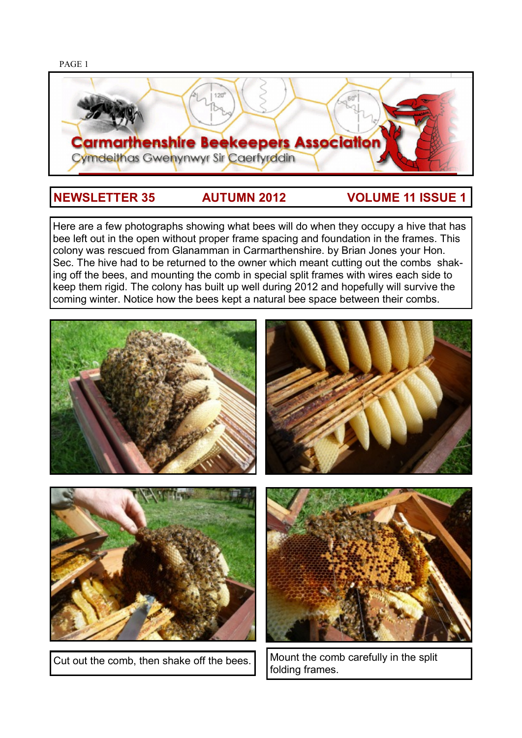

# **NEWSLETTER 35 AUTUMN 2012 VOLUME 11 ISSUE 1**

Here are a few photographs showing what bees will do when they occupy a hive that has bee left out in the open without proper frame spacing and foundation in the frames. This colony was rescued from Glanamman in Carmarthenshire. by Brian Jones your Hon. Sec. The hive had to be returned to the owner which meant cutting out the combs shaking off the bees, and mounting the comb in special split frames with wires each side to keep them rigid. The colony has built up well during 2012 and hopefully will survive the coming winter. Notice how the bees kept a natural bee space between their combs.



Cut out the comb, then shake off the bees. Mount the comb carefully in the split folding frames.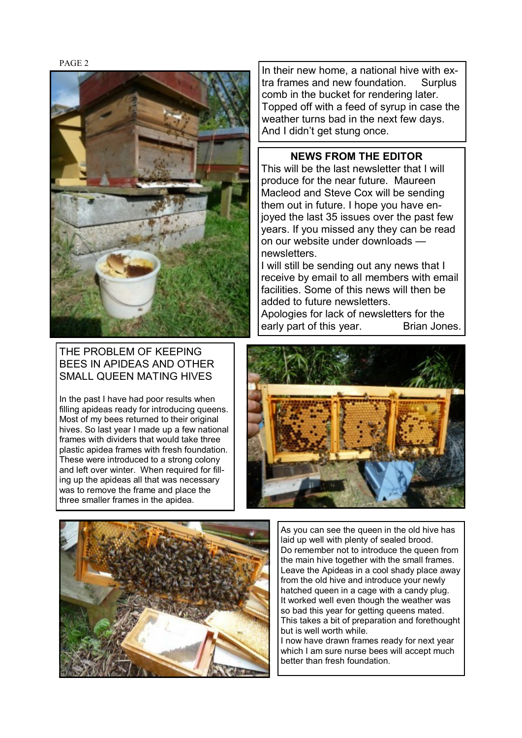

In their new home, a national hive with extra frames and new foundation. Surplus comb in the bucket for rendering later. Topped off with a feed of syrup in case the weather turns bad in the next few days. And I didn't get stung once.

## **NEWS FROM THE EDITOR**

This will be the last newsletter that I will produce for the near future. Maureen Macleod and Steve Cox will be sending them out in future. I hope you have enjoyed the last 35 issues over the past few years. If you missed any they can be read on our website under downloads newsletters.

I will still be sending out any news that I receive by email to all members with email facilities. Some of this news will then be added to future newsletters.

Apologies for lack of newsletters for the early part of this year. Brian Jones.

## THE PROBLEM OF KEEPING BEES IN APIDEAS AND OTHER SMALL QUEEN MATING HIVES

In the past I have had poor results when filling apideas ready for introducing queens. Most of my bees returned to their original hives. So last year I made up a few national frames with dividers that would take three plastic apidea frames with fresh foundation. These were introduced to a strong colony and left over winter. When required for filling up the apideas all that was necessary was to remove the frame and place the three smaller frames in the apidea.





As you can see the queen in the old hive has laid up well with plenty of sealed brood. Do remember not to introduce the queen from the main hive together with the small frames. Leave the Apideas in a cool shady place away from the old hive and introduce your newly hatched queen in a cage with a candy plug. It worked well even though the weather was so bad this year for getting queens mated. This takes a bit of preparation and forethought but is well worth while.

I now have drawn frames ready for next year which I am sure nurse bees will accept much better than fresh foundation.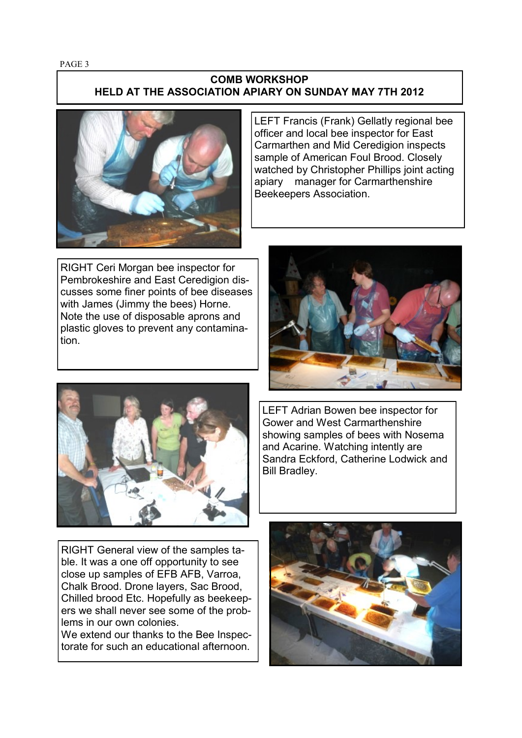## **COMB WORKSHOP HELD AT THE ASSOCIATION APIARY ON SUNDAY MAY 7TH 2012**



LEFT Francis (Frank) Gellatly regional bee officer and local bee inspector for East Carmarthen and Mid Ceredigion inspects sample of American Foul Brood. Closely watched by Christopher Phillips joint acting apiary manager for Carmarthenshire Beekeepers Association.

RIGHT Ceri Morgan bee inspector for Pembrokeshire and East Ceredigion discusses some finer points of bee diseases with James (Jimmy the bees) Horne. Note the use of disposable aprons and plastic gloves to prevent any contamination.





LEFT Adrian Bowen bee inspector for Gower and West Carmarthenshire showing samples of bees with Nosema and Acarine. Watching intently are Sandra Eckford, Catherine Lodwick and Bill Bradley.

RIGHT General view of the samples table. It was a one off opportunity to see close up samples of EFB AFB, Varroa, Chalk Brood. Drone layers, Sac Brood, Chilled brood Etc. Hopefully as beekeepers we shall never see some of the problems in our own colonies.

We extend our thanks to the Bee Inspectorate for such an educational afternoon.

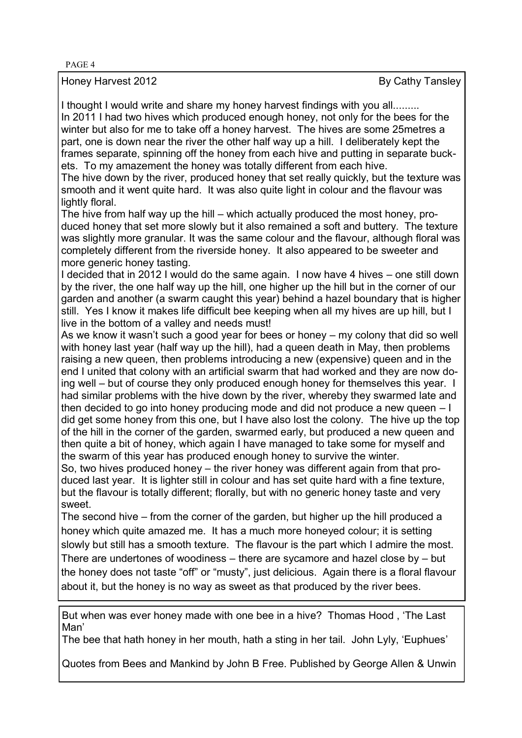Honey Harvest 2012 **By Cathy Tansley** 

I thought I would write and share my honey harvest findings with you all......... In 2011 I had two hives which produced enough honey, not only for the bees for the

winter but also for me to take off a honey harvest. The hives are some 25metres a part, one is down near the river the other half way up a hill. I deliberately kept the frames separate, spinning off the honey from each hive and putting in separate buckets. To my amazement the honey was totally different from each hive.

The hive down by the river, produced honey that set really quickly, but the texture was smooth and it went quite hard. It was also quite light in colour and the flavour was lightly floral.

The hive from half way up the hill – which actually produced the most honey, produced honey that set more slowly but it also remained a soft and buttery. The texture was slightly more granular. It was the same colour and the flavour, although floral was completely different from the riverside honey. It also appeared to be sweeter and more generic honey tasting.

I decided that in 2012 I would do the same again. I now have 4 hives – one still down by the river, the one half way up the hill, one higher up the hill but in the corner of our garden and another (a swarm caught this year) behind a hazel boundary that is higher still. Yes I know it makes life difficult bee keeping when all my hives are up hill, but I live in the bottom of a valley and needs must!

As we know it wasn't such a good year for bees or honey – my colony that did so well with honey last year (half way up the hill), had a queen death in May, then problems raising a new queen, then problems introducing a new (expensive) queen and in the end I united that colony with an artificial swarm that had worked and they are now doing well – but of course they only produced enough honey for themselves this year. I had similar problems with the hive down by the river, whereby they swarmed late and then decided to go into honey producing mode and did not produce a new queen – I did get some honey from this one, but I have also lost the colony. The hive up the top of the hill in the corner of the garden, swarmed early, but produced a new queen and then quite a bit of honey, which again I have managed to take some for myself and the swarm of this year has produced enough honey to survive the winter.

So, two hives produced honey – the river honey was different again from that produced last year. It is lighter still in colour and has set quite hard with a fine texture, but the flavour is totally different; florally, but with no generic honey taste and very sweet.

The second hive – from the corner of the garden, but higher up the hill produced a honey which quite amazed me. It has a much more honeyed colour; it is setting slowly but still has a smooth texture. The flavour is the part which I admire the most. There are undertones of woodiness – there are sycamore and hazel close by – but the honey does not taste "off" or "musty", just delicious. Again there is a floral flavour about it, but the honey is no way as sweet as that produced by the river bees.

But when was ever honey made with one bee in a hive? Thomas Hood , 'The Last Man'

The bee that hath honey in her mouth, hath a sting in her tail. John Lyly, 'Euphues'

Quotes from Bees and Mankind by John B Free. Published by George Allen & Unwin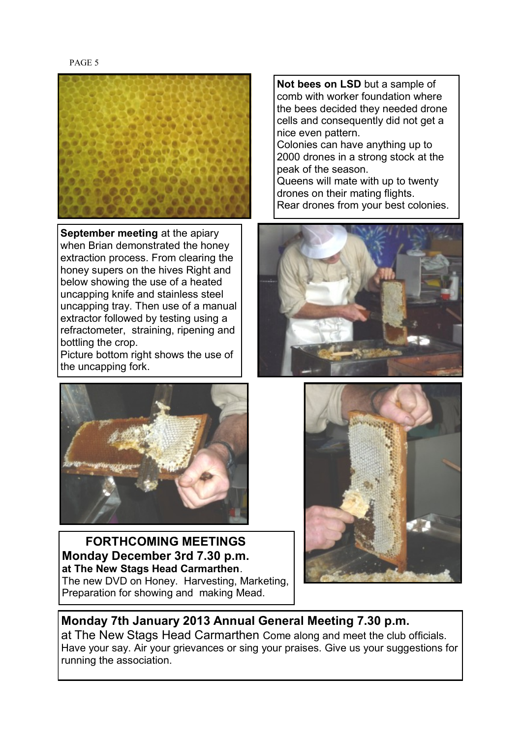

**September meeting at the apiary** when Brian demonstrated the honey extraction process. From clearing the honey supers on the hives Right and below showing the use of a heated uncapping knife and stainless steel uncapping tray. Then use of a manual extractor followed by testing using a refractometer, straining, ripening and bottling the crop.

Picture bottom right shows the use of the uncapping fork.



 **FORTHCOMING MEETINGS Monday December 3rd 7.30 p.m. at The New Stags Head Carmarthen**. The new DVD on Honey. Harvesting, Marketing, Preparation for showing and making Mead.

**Not bees on LSD** but a sample of comb with worker foundation where the bees decided they needed drone cells and consequently did not get a nice even pattern. Colonies can have anything up to 2000 drones in a strong stock at the peak of the season. Queens will mate with up to twenty drones on their mating flights.

Rear drones from your best colonies.





**Monday 7th January 2013 Annual General Meeting 7.30 p.m.**  at The New Stags Head Carmarthen Come along and meet the club officials. Have your say. Air your grievances or sing your praises. Give us your suggestions for running the association.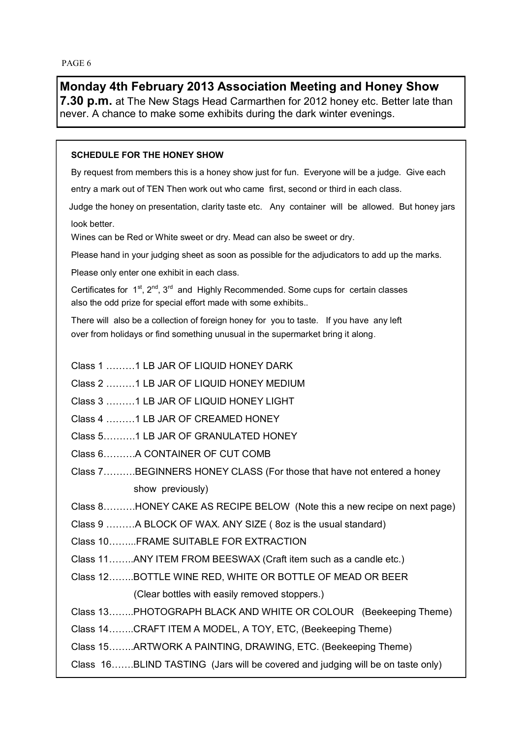## **Monday 4th February 2013 Association Meeting and Honey Show**

**7.30 p.m.** at The New Stags Head Carmarthen for 2012 honey etc. Better late than never. A chance to make some exhibits during the dark winter evenings.

## **SCHEDULE FOR THE HONEY SHOW**

By request from members this is a honey show just for fun. Everyone will be a judge. Give each entry a mark out of TEN Then work out who came first, second or third in each class.

Judge the honey on presentation, clarity taste etc. Any container will be allowed. But honey jars look better.

Wines can be Red or White sweet or dry. Mead can also be sweet or dry.

Please hand in your judging sheet as soon as possible for the adjudicators to add up the marks.

Please only enter one exhibit in each class.

Certificates for  $1^{st}$ ,  $2^{nd}$ ,  $3^{rd}$  and Highly Recommended. Some cups for certain classes also the odd prize for special effort made with some exhibits..

There will also be a collection of foreign honey for you to taste. If you have any left over from holidays or find something unusual in the supermarket bring it along.

- Class 1 ………1 LB JAR OF LIQUID HONEY DARK
- Class 2 ………1 LB JAR OF LIQUID HONEY MEDIUM
- Class 3 ………1 LB JAR OF LIQUID HONEY LIGHT
- Class 4 ………1 LB JAR OF CREAMED HONEY
- Class 5……….1 LB JAR OF GRANULATED HONEY
- Class 6……….A CONTAINER OF CUT COMB
- Class 7……….BEGINNERS HONEY CLASS (For those that have not entered a honey show previously)

Class 8……….HONEY CAKE AS RECIPE BELOW (Note this a new recipe on next page)

Class 9 ………A BLOCK OF WAX. ANY SIZE ( 8oz is the usual standard)

Class 10……...FRAME SUITABLE FOR EXTRACTION

- Class 11……..ANY ITEM FROM BEESWAX (Craft item such as a candle etc.)
- Class 12……..BOTTLE WINE RED, WHITE OR BOTTLE OF MEAD OR BEER (Clear bottles with easily removed stoppers.)

Class 13……..PHOTOGRAPH BLACK AND WHITE OR COLOUR (Beekeeping Theme)

Class 14……..CRAFT ITEM A MODEL, A TOY, ETC, (Beekeeping Theme)

Class 15……..ARTWORK A PAINTING, DRAWING, ETC. (Beekeeping Theme)

Class 16…….BLIND TASTING (Jars will be covered and judging will be on taste only)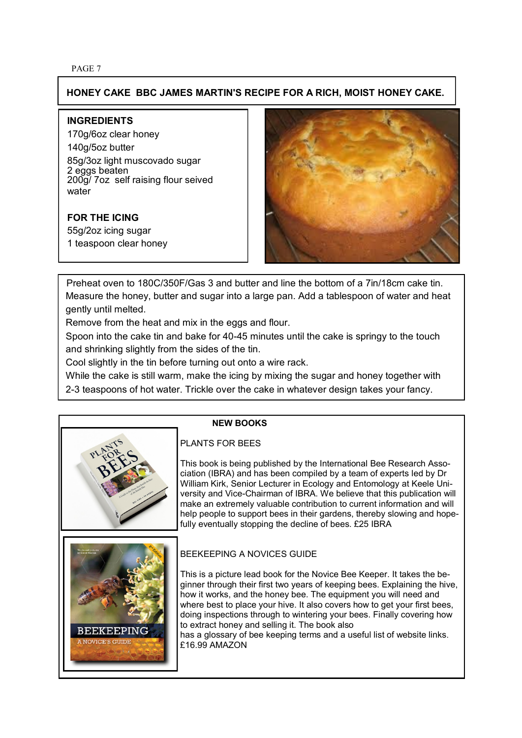## **HONEY CAKE BBC JAMES MARTIN'S RECIPE FOR A RICH, MOIST HONEY CAKE.**

### **INGREDIENTS**

170g/6oz clear honey 140g/5oz butter 85g/3oz light muscovado sugar 2 eggs beaten 200g/ 7oz self raising flour seived water

## **FOR THE ICING**

55g/2oz icing sugar 1 teaspoon clear honey



 Preheat oven to 180C/350F/Gas 3 and butter and line the bottom of a 7in/18cm cake tin. Measure the honey, butter and sugar into a large pan. Add a tablespoon of water and heat gently until melted.

Remove from the heat and mix in the eggs and flour.

Spoon into the cake tin and bake for 40-45 minutes until the cake is springy to the touch and shrinking slightly from the sides of the tin.

Cool slightly in the tin before turning out onto a wire rack.

While the cake is still warm, make the icing by mixing the sugar and honey together with

2-3 teaspoons of hot water. Trickle over the cake in whatever design takes your fancy.